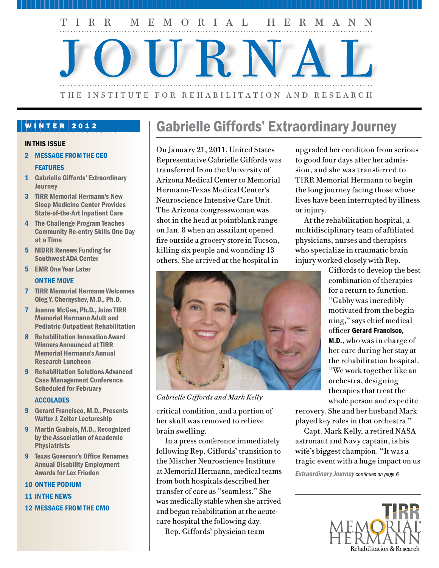

### WINTER 2012

#### IN THIS ISSUE

- 2 MESSAGE FROM THE CEO **FEATURES**
- 1 Gabrielle Giffords' Extraordinary **Journey**
- 3 TIRR Memorial Hermann's New Sleep Medicine Center Provides State-of-the-Art Inpatient Care
- 4 The Challenge Program Teaches Community Re-entry Skills One Day at a Time
- 5 NIDRR Renews Funding for Southwest ADA Center
- 5 EMR One Year Later

#### ON THE MOVE

- 7 TIRR Memorial Hermann Welcomes Oleg Y. Chernyshev, M.D., Ph.D.
- 7 Joanne McGee, Ph.D., Joins TIRR Memorial Hermann Adult and Pediatric Outpatient Rehabilitation
- 8 Rehabilitation Innovation Award Winners Announced at TIRR Memorial Hermann's Annual Research Luncheon
- 9 Rehabilitation Solutions Advanced Case Management Conference Scheduled for February

#### ACCOLADES

- 9 Gerard Francisco, M.D., Presents Walter J. Zeiter Lectureship
- 9 Martin Grabois, M.D., Recognized by the Association of Academic **Physiatrists**
- 9 Texas Governor's Office Renames Annual Disability Employment Awards for Lex Frieden

#### 10 ON THE PODIUM

- 11 IN THE NEWS
- 12 MESSAGE FROM THE CMO

# Gabrielle Giffords' Extraordinary Journey

On January 21, 2011, United States Representative Gabrielle Giffords was transferred from the University of Arizona Medical Center to Memorial Hermann-Texas Medical Center's Neuroscience Intensive Care Unit. The Arizona congresswoman was shot in the head at pointblank range on Jan. 8 when an assailant opened fire outside a grocery store in Tucson, killing six people and wounding 13 others. She arrived at the hospital in



*Gabrielle Giffords and Mark Kelly*

critical condition, and a portion of her skull was removed to relieve brain swelling.

In a press conference immediately following Rep. Giffords' transition to the Mischer Neuroscience Institute at Memorial Hermann, medical teams from both hospitals described her transfer of care as "seamless." She was medically stable when she arrived and began rehabilitation at the acutecare hospital the following day.

Rep. Giffords' physician team

upgraded her condition from serious to good four days after her admission, and she was transferred to TIRR Memorial Hermann to begin the long journey facing those whose lives have been interrupted by illness or injury.

At the rehabilitation hospital, a multidisciplinary team of affiliated physicians, nurses and therapists who specialize in traumatic brain injury worked closely with Rep.

> Giffords to develop the best combination of therapies for a return to function. "Gabby was incredibly motivated from the beginning," says chief medical officer Gerard Francisco, M.D., who was in charge of her care during her stay at the rehabilitation hospital. "We work together like an orchestra, designing therapies that treat the whole person and expedite

recovery. She and her husband Mark played key roles in that orchestra."

Capt. Mark Kelly, a retired NASA astronaut and Navy captain, is his wife's biggest champion. "It was a tragic event with a huge impact on us

*Extraordinary Journey continues on page 6*

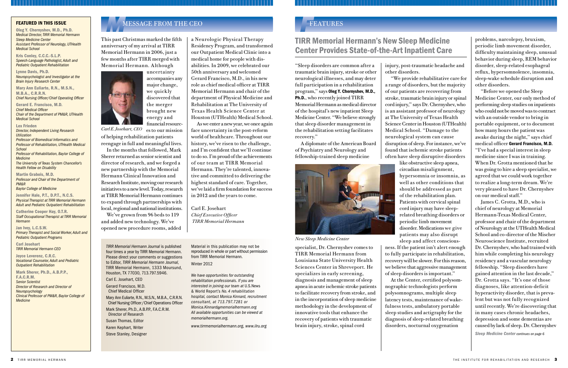problems, narcolepsy, bruxism, periodic limb movement disorder, difficulty maintaining sleep, unusual behavior during sleep, REM behavior disorder, sleep-related esophageal reflux, hypersomnolence, insomnia, sleep-wake schedule disruption and other disorders.

"Before we opened the Sleep Medicine Center, our only method of performing sleep studies on inpatients who could not be moved was to contract with an outside vendor to bring in portable equipment, or to document how many hours the patient was awake during the night," says chief medical officer Gerard Francisco, M.D. "I've had a special interest in sleep medicine since I was in training. When Dr. Grotta mentioned that he was going to hire a sleep specialist, we agreed that we could work together to realize a long-term dream. We're very pleased to have Dr. Chernyshev on our medical staff."

This past Christmas marked the fifth anniversary of my arrival at TIRR Memorial Hermann in 2006, just a few months after TIRR merged with Memorial Hermann. Although

> James C. Grotta, M.D., who is chief of neurology at Memorial Hermann-Texas Medical Center, professor and chair of the department of Neurology at the UTHealth Medical School and co-director of the Mischer Neuroscience Institute, recruited Dr. Chernyshev, who had trained with him while completing his neurology residency and a vascular neurology fellowship. "Sleep disorders have gained attention in the last decade," Dr. Grotta says. "It's one of those diagnoses, like attention-deficit hyperactivity disorder, that is prevalent but was not fully recognized until recently. We're discovering that in many cases chronic headaches, depression and some dementias are caused by lack of sleep. Dr. Chernyshev

### *F*FEATURES



Mary Ann Euliarte, R.N., M.S.N., M.B.A., C.R.R.N. Chief Nursing Officer /Chief Operations Officer Mark Sherer, Ph.D., A.B.P.P., F.A.C.R.M.

reengage in full and meaningful lives. In the months that followed, Mark Sherer returned as senior scientist and director of research, and we forged a new partnership with the Memorial Hermann Clinical Innovation and Research Institute, moving our research initiatives to a new level. Today, research at TIRR Memorial Hermann continues to expand through partnerships with local, regional and national institutions.

financial resources to our mission of helping rehabilitation patients *Carl E. Josehart, CEO*

We've grown from 96 beds to 119 and added new technology. We've opened new procedure rooms, added

Oleg Y. Chernyshev, M.D., Ph.D. *Medical Director, TIRR Memorial Hermann Sleep Medicine Center Assistant Professor of Neurology, UTHealth Medical School*

Kris Conley, C.C.C.-S.L.P. *Speech-Language Pathologist, Adult and Pediatric Outpatient Rehabilitation*

Lynne Davis, Ph.D. *Neuropsychologist and Investigator at the Brain Injury Research Center*

Mary Ann Euliarte, R.N., M.S.N., M.B.A., C.R.R.N.

*Chief Nursing Officer/Chief Operating Officer* 

Gerard E. Francisco, M.D. *Chief Medical Officer Chair of the Department of PM&R, UTHealth Medical School*

Lex Frieden *Director, Independent Living Research Utilization* 

*Professor of Biomedical Informatics and Professor of Rehabilitation, UTHealth Medical School Professor of Rehabilitation, Baylor College of* 

*Medicine The University of Texas System Chancellor's Health Fellow on Disability*

Martin Grabois, M.D. *Professor and Chair of the Department of PM&R*

*Baylor College of Medicine*

Jennifer Hale, P.T., D.P.T., N.C.S. *Physical Therapist at TIRR Memorial Hermann Adult and Pediatric Outpatient Rehabilitation*

Catherine Cooper Hay, O.T.R. *Staff Occupational Therapist at TIRR Memorial Hermann*

Jan Ivey, L.C.S.W. *Primary Therapist and Social Worker, Adult and Pediatric Outpatient Programs*

Carl Josehart *TIRR Memorial Hermann CEO*

Joyce Leverenz, C.R.C. *Vocational Counselor, Adult and Pediatric Outpatient Rehabilitation*

Mark Sherer, Ph.D., A.B.P.P., F.A.C.R.M.

*Senior Scientist Director of Research and Director of Neuropsychology Clinical Professor of PM&R, Baylor College of Medicine*

# **FEATURED IN THIS ISSUE**<br>Oleg Y. Chernyshev, M.D., Ph.D.<br>Medical Director TIRR Memorial Hermann

*TIRR Memorial Hermann Journal* is published four times a year by TIRR Memorial Hermann. Please direct your comments or suggestions to Editor, *TIRR Memorial Hermann Journal*, TIRR Memorial Hermann, 1333 Moursund, Houston, TX 77030, 713.797.5946. Carl E. Josehart, CEO Gerard Francisco, M.D.

Chief Medical Officer

 Director of Research Susan Thomas, Editor

Karen Kephart, Writer

Steve Stanley, Designer

Material in this publication may not be reproduced in whole or part without permission from TIRR Memorial Hermann.

Winter 2012

*We have opportunities for outstanding rehabilitation professionals. If you are interested in joining our team at* U.S.News & World Report's *No. 4 rehabilitation hospital, contact Monica Kinnard, recruitment consultant, at 713.797.7281 or Monica.Kinnard@memorialhermann.org All available opportunities can be viewed at memorialhermann.org.*

*www.tirrmemorialhermann.org, www.ilru.org*

### TIRR Memorial Hermann's New Sleep Medicine Center Provides State-of-the-Art Inpatient Care

a Neurologic Physical Therapy Residency Program, and transformed our Outpatient Medical Clinic into a medical home for people with disabilities. In 2009, we celebrated our 50th anniversary and welcomed Gerard Francisco, M.D., in his new role as chief medical officer at TIRR Memorial Hermann and chair of the department of Physical Medicine and Rehabilitation at The University of Texas Health Science Center at Houston (UTHealth) Medical School.

As we enter a new year, we once again face uncertainty in the post-reform world of healthcare. Throughout our history, we've risen to the challenge, and I'm confident that we'll continue to do so. I'm proud of the achievements of our team at TIRR Memorial Hermann. They're talented, innovative and committed to delivering the highest standard of care. Together, we've laid a firm foundation for success in 2012 and the years to come.

Carl E. Josehart *Chief Executive Officer TIRR Memorial Hermann*

*Sleep Medicine Center continues on page 6*

"Sleep disorders are common after a traumatic brain injury, stroke or other neurological illnesses, and may deter full participation in a rehabilitation program," says Oleg Y. Chernyshev, M.D., Ph.D., who recently joined TIRR Memorial Hermann as medical director of the hospital's new inpatient Sleep Medicine Center. "We believe strongly that sleep disorder management in the rehabilitation setting facilitates recovery."

A diplomate of the American Board of Psychiatry and Neurology and fellowship-trained sleep medicine



specialist, Dr. Chernyshev comes to TIRR Memorial Hermann from Louisiana State University Health Sciences Center in Shreveport. He specializes in early screening, diagnosis and management of sleep apnea in acute ischemic stroke patients to facilitate recovery from stroke, and in the incorporation of sleep medicine methodology in the development of innovative tools that enhance the recovery of patients with traumatic brain injury, stroke, spinal cord

injury, post-traumatic headache and other disorders.

"We provide rehabilitative care for a range of disorders, but the majority of our patients are recovering from stroke, traumatic brain injury or spinal cord injury," says Dr. Chernyshev, who is an assistant professor of neurology at The University of Texas Health Science Center in Houston (UTHealth) Medical School. "Damage to the neurological system can cause disruption of sleep. For instance, we've found that ischemic stroke patients often have sleep disruptive disorders like obstructive sleep apnea, circadian misalignment, hypersomnia or insomnia, as well as other conditions that should be addressed as part of the rehabilitation plan. Patients with cervical spinal cord injury may have sleeprelated breathing disorders or periodic limb movement disorder. Medications we give patients may also disrupt sleep and affect consciousness. If the patient isn't alert enough to fully participate in rehabilitation, recovery will be slower. For this reason, we believe that aggressive management of sleep disorders is important." At the Center, certified polysomnographic technologists perform polysomnograms, multiple sleep latency tests, maintenance of wakefulness tests, ambulatory portable sleep studies and actigraphy for the diagnosis of sleep-related breathing

disorders, nocturnal oxygenation

*New Sleep Medicine Center*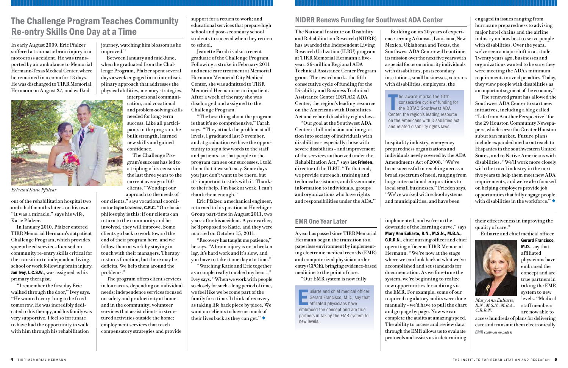journey, watching him blossom as he improved."

Between January and mid-June, when he graduated from the Challenge Program, Pfalzer spent several days a week engaged in an interdisciplinary approach that addresses the physical abilities, memory strategies,

interpersonal communication, and vocational and problem-solving skills needed for long-term success. Like all participants in the program, he built strength, learned new skills and gained confidence.

The Challenge Program's success has led to a tripling of its census in the last three years to the current average of 60 clients. "We adapt our

approach to the needs of

our clients," says vocational coordinator Joyce Leverenz, C.R.C. "Our basic philosophy is this: if our clients can return to the community and be involved, they will improve. Some clients go back to work toward the end of their program here, and we follow them at work by staying in touch with their managers. Therapy restores function, but there may be deficits. We help them around the problems."

"Watching Katie and Eric together as a couple really touched my heart," Ivey says. "When we work with people so closely for such a long period of time, we feel like we become part of the family for a time. I think of recovery as taking life back piece by piece. We want our clients to have as much of their lives back as they can get."

The program offers client services in four areas, depending on individual needs: independence services focused on safety and productivity at home and in the community; volunteer services that assist clients in structured activities outside the home; employment services that teach compensatory strategies and provide

support for a return to work; and educational services that prepare high school and post-secondary school students to succeed when they return to school.

Jeanette Farah is also a recent graduate of the Challenge Program. Following a stroke in February 2011 and acute care treatment at Memorial Hermann Memorial City Medical Center, she was admitted to TIRR Memorial Hermann as an inpatient. After a week of therapy she was discharged and assigned to the Challenge Program.

"The best thing about the program is that it's so comprehensive," Farah says. "They attack the problem at all levels. I graduated last November, and at graduation we have the opportunity to say a few words to the staff and patients, so that people in the program can see our successes. I told them that it wasn't easy. Some days you just don't want to be there, but it's important to stick with it. Thanks to their help, I'm back at work. I can't thank them enough."

Eric Pfalzer, a mechanical engineer, returned to his position at Hoerbiger Group part-time in August 2011, two years after his accident. A year earlier, he'd proposed to Katie, and they were married on October 15, 2011.

"Recovery has taught me patience," he says. "A brain injury is not a broken leg. It's hard work and it's slow, and you have to take it one day at a time."

The renewed grant has allowed the Southwest ADA Center to start new initiatives, including a blog called "Life from Another Perspective" for the 29 Houston Community Newspapers, which serve the Greater Houston suburban market. Future plans include expanded media outreach to Hispanics in the southwestern United States, and to Native Americans with disabilities. "We'll work more closely with the travel industry in the next five years to help them meet new ADA requirements, and we're also focused on helping employers provide job opportunities that fully engage people with disabilities in the workforce." $\blacklozenge$ 

In early August 2009, Eric Pfalzer suffered a traumatic brain injury in a motocross accident. He was transported by air ambulance to Memorial Hermann-Texas Medical Center, where he remained in a coma for 13 days. He was discharged to TIRR Memorial Hermann on August 27, and walked

# The Challenge Program Teaches Community  $\parallel$  support for a return to work; and NIDRR Renews Funding for Southwest ADA Center Re-entry Skills One Day at a Time

out of the rehabilitation hospital two and a half months later – on his own. "It was a miracle," says his wife, Katie Pfalzer.

In January 2010, Pfalzer entered TIRR Memorial Hermann's outpatient Challenge Program, which provides specialized services focused on community re-entry skills critical for the transition to independent living, school or work following brain injury. Jan Ivey, L.C.S.W., was assigned as his primary therapist.

"I remember the first day Eric walked through the door," Ivey says. "He wanted everything to be fixed tomorrow. He was incredibly dedicated to his therapy, and his family was very supportive. I feel so fortunate to have had the opportunity to walk with him through his rehabilitation

The award marks the fifth<br>
consecutive cycle of funding<br>
the DBTAC Southwest ADA<br>
Center the radion's leading resoure consecutive cycle of funding for the DBTAC Southwest ADA Center, the region's leading resource on the Americans with Disabilities Act and related disability rights laws.

Improvement and chief medical office<br>
Gerard Francisco, M.D., say that<br>
affiliated physicians have<br>
embraced the concept and are true uliarte and chief medical officer Gerard Francisco, M.D., say that **a** affiliated physicians have partners in taking the EMR system to new levels.

The National Institute on Disability and Rehabilitation Research (NIDRR) has awarded the Independent Living Research Utilization (ILRU) program at TIRR Memorial Hermann a fiveyear, \$6-million Regional ADA Technical Assistance Center Program grant. The award marks the fifth consecutive cycle of funding for the Disability and Business Technical Assistance Center (DBTAC) ADA Center, the region's leading resource on the Americans with Disabilities Act and related disability rights laws.

"Our goal at the Southwest ADA Center is full inclusion and integration into society of individuals with disabilities – especially those with severe disabilities – and improvement of the services authorized under the Rehabilitation Act," says Lex Frieden, director of the ILRU. "To that end, we provide outreach, training and technical assistance, and disseminate information to individuals, groups and organizations who have rights and responsibilities under the ADA."

Building on its 20 years of experience serving Arkansas, Louisiana, New Mexico, Oklahoma and Texas, the Southwest ADA Center will continue its mission over the next five years with a special focus on minority individuals with disabilities, postsecondary institutions, small businesses, veterans with disabilities, employers, the

hospitality industry, emergency preparedness organizations and individuals newly covered by the ADA Amendments Act of 2008. "We've been successful in reaching across a broad spectrum of need, ranging from large international corporations to local small businesses," Frieden says. "We've worked with school systems and municipalities, and have been

engaged in issues ranging from hurricane preparedness to advising major hotel chains and the airline industry on how best to serve people with disabilities. Over the years, we've seen a major shift in attitude. Twenty years ago, businesses and organizations wanted to be sure they were meeting the ADA's minimum requirements to avoid penalties. Today, they view people with disabilities as an important segment of the economy."



*Eric and Katie Pfalzar*

#### EMR One Year Later

A year has passed since TIRR Memorial Hermann began the transition to a paperless environment by implementing electronic medical records (EMR) and computerized physician order entry (CPOE), bringing evidence-based medicine to the point of care.

"Our EMR system is now fully

implemented, and we're on the downside of the learning curve," says Mary Ann Euliarte, R.N., M.S.N., M.B.A., C.R.R.N., chief nursing officer and chief operating officer at TIRR Memorial Hermann. "We're now at the stage where we can look back at what we've accomplished and set standards for documentation. As we fine-tune the system, we're beginning to realize new opportunities for auditing via the EMR. For example, some of our required regulatory audits were done manually – we'd have to pull the chart and go page by page. Now we can complete the audits at amazing speed. The ability to access and review data through the EMR allows us to evaluate protocols and assists us in determining

their effectiveness in improving the quality of care."

Euliarte and chief medical officer

Gerard Francisco, M.D., say that affiliated physicians have embraced the concept and are true partners in taking the EMR system to new levels. "Medical staff members are now able to

access hundreds of plans for delivering care and transmit them electronically



*Mary Ann Euliarte, R.N., M.S.N., M.B.A., C.R.R.N.*

*EMR continues on page 6*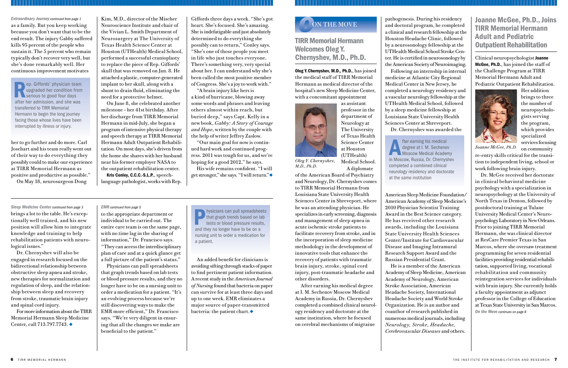Joanne McGee, Ph.D., Joins TIRR Memorial Hermann Adult and Pediatric Outpatient Rehabilitation

Clinical neuropsychologist Joanne McGee, Ph.D., has joined the staff of the Challenge Program at TIRR Memorial Hermann Adult and Pediatric Outpatient Rehabilitation.

Her addition brings to three the number of neuropsychologists serving the program, which provides specialized services focusing on community

re-entry skills critical for the transition to independent living, school or work following brain injury.

pathogenesis. During his residency and doctoral program, he completed a clinical and research fellowship at the Houston Headache Clinic, followed by a neurosonology fellowship at the UTHealth Medical School Stroke Center. He is certified in neurosonology by the American Society of Neuroimaging. medicine at Atlantic City Regional Medical Center in New Jersey, he completed a neurology residency and a vascular neurology fellowship at the UTHealth Medical School, followed by a sleep medicine fellowship at Louisiana State University Health Sciences Center at Shreveport.

Following an internship in internal Dr. Chernyshev was awarded the

For more information about the TIRR Memorial Hermann Sleep Medicine Center, call 713.797.7743.  $\triangleleft$ 

American Sleep Medicine Foundation/ He is a member of the American

American Academy of Sleep Medicine's 2010 Physician Scientist Training Award in the Best Science category. He has received other research awards, including the Louisiana State University Health Sciences Center/Institute for Cardiovascular Disease and Imaging Intramural Research Support Award and the Russian Presidential Grant. Academy of Sleep Medicine, American Academy of Neurology, American Stroke Association, American Headache Society, International Headache Society and World Stroke Organization. He is an author and coauthor of research published in numerous medical journals, including *Neurology, Stroke, Headache, Cerebrovascular Diseases* and others.



as a family. But you keep working because you don't want that to be the end result. The injury Gabby suffered kills 95 percent of the people who sustain it. The 5 percent who remain typically don't recover very well, but she's done remarkably well. Her continuous improvement motivates

her to go further and do more. Carl Josehart and his team really went out of their way to do everything they possibly could to make our experience at TIRR Memorial Hermann as positive and productive as possible." On May 18, neurosurgeon Dong

ep. Giffords' physician team upgraded her condition from Serious to good four days after her admission, and she was transferred to TIRR Memorial Hermann to begin the long journey facing those whose lives have been interrupted by illness or injury.

Kim, M.D., director of the Mischer Neuroscience Institute and chair of the Vivian L. Smith Department of Neurosurgery at The University of Texas Health Science Center at Houston (UTHealth) Medical School, performed a successful cranioplasty to replace the piece of Rep. Giffords' skull that was removed on Jan. 8. He attached a plastic, computer-generated implant to her skull, along with a shunt to drain fluid, eliminating the

> Dr. McGee received her doctorate in clinical behavioral medicine psychology with a specialization in neuropsychology at the University of North Texas in Denton, followed by postdoctoral training at Tulane University Medical Center's Neuropsychology Laboratory in New Orleans. Prior to joining TIRR Memorial Hermann, she was clinical director at ResCare Premier Texas in San Marcos, where she oversaw treatment programming for seven residential facilities providing residential rehabilitation, supported living, vocational rehabilitation and community reintegration services for individuals with brain injury. She currently holds a faculty appointment as adjunct professor in the College of Education at Texas State University in San Marcos. *On the Move continues on page 8*

His wife remains confident. "I will get stronger," she says. "I will return."◆

An added benefit for clinicians is avoiding sifting through stacks of paper to find pertinent patient information. A recent study in the *American Journal of Nursing* found that bacteria on paper can survive for at least three days and up to one week. EMR eliminates a major source of paper-transmitted bacteria: the patient chart. $\blacklozenge$ 

## **ON THE MOVE**

need for a protective helmet. On June 8, she celebrated another milestone – her 41st birthday. After her discharge from TIRR Memorial Hermann in mid-July, she began a program of intensive physical therapy and speech therapy at TIRR Memorial Hermann Adult Outpatient Rehabilitation. On most days, she's driven from the home she shares with her husband near his former employer NASA to the outpatient rehabilitation center.

> **Physicians can pull spreadsheets**<br>that graph trends based on lab<br>tests or blood pressure results,<br>and they no longer have to be on a that graph trends based on lab tests or blood pressure results, and they no longer have to be on a nursing unit to order a medication for a patient.

Kris Conley, C.C.C.-S.L.P., speechlanguage pathologist, works with Rep.

**After earning his medical<br>degree at I. M. Sechenor<br>Moscow Russia Dr. Chernys** degree at I. M. Sechenov Moscow Medical Academy in Moscow, Russia, Dr. Chernyshev completed a combined clinical neurology residency and doctorate at the same institution

#### *Extraordinary Journey continued from page 1*

brings a lot to the table. He's exceptionally well trained, and his new position will allow him to integrate knowledge and training to help rehabilitation patients with neurological issues." *Sleep Medicine Center continued from page 3*

Dr. Chernyshev will also be engaged in research focused on the bidirectional relationship between obstructive sleep apnea and stroke, new therapies for normalization and regulation of sleep, and the relationship between sleep and recovery from stroke, traumatic brain injury and spinal cord injury.

to the appropriate department or individual to be carried out. The entire care team is on the same page, with no time lag in the sharing of information," Dr. Francisco says. "They can access the interdisciplinary plan of care and at a quick glance get a full picture of the patient's status."

Physicians can pull spreadsheets that graph trends based on lab tests or blood pressure results, and they no longer have to be on a nursing unit to order a medication for a patient. "It's an evolving process because we're still discovering ways to make the EMR more efficient," Dr. Francisco says. "We're very diligent in ensuring that all the changes we make are beneficial to the patient."

*EMR continued from page 5*

TIRR Memorial Hermann Welcomes Oleg Y. Chernyshev, M.D., Ph.D.

Oleg Y. Chernyshev, M.D., Ph.D., has joined the medical staff of TIRR Memorial Hermann as medical director of the hospital's new Sleep Medicine Center, with a concomitant appointment



as assistant professor in the department of Neurology at The University of Texas Health Science Center at Houston (UTHealth) Medical School.

of the American Board of Psychiatry and Neurology, Dr. Chernyshev comes to TIRR Memorial Hermann from Louisiana State University Health Sciences Center in Shreveport, where he was an attending physician. He specializes in early screening, diagnosis and management of sleep apnea in acute ischemic stroke patients to facilitate recovery from stroke, and in the incorporation of sleep medicine methodology in the development of innovative tools that enhance the recovery of patients with traumatic brain injury, stroke, spinal cord injury, post-traumatic headache and other disorders.

A diplomate *Oleg Y. Chernyshev, M.D., Ph.D.*

After earning his medical degree at I. M. Sechenov Moscow Medical Academy in Russia, Dr. Chernyshev completed a combined clinical neurology residency and doctorate at the same institution, where he focused on cerebral mechanisms of migraine

Giffords three days a week. "She's got heart. She's focused. She's amazing. She is indefatigable and just absolutely determined to do everything she possibly can to return," Conley says. "She's one of those people you meet in life who just touches everyone. There's something very, very special about her. I can understand why she's been called the most positive member of Congress. She's a joy to work with."

"A brain injury like hers is a kind of hurricane, blowing away some words and phrases and leaving others almost within reach, but buried deep," says Capt. Kelly in a new book, *Gabby: A Story of Courage and Hope*, written by the couple with the help of writer Jeffrey Zaslow.

"Our main goal for now is continued hard work and continued progress. 2011 was tough for us, and we're hoping for a good 2012," he says.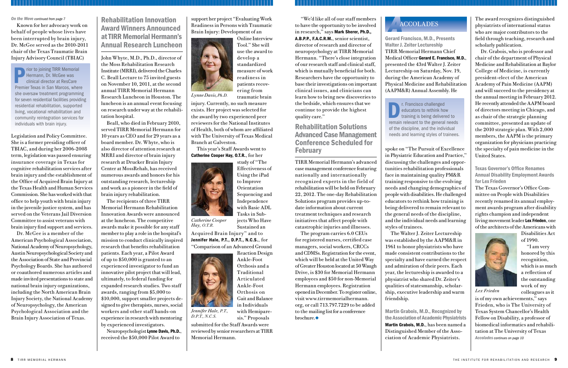"We'd like all of our staff members to have the opportunity to be involved in research," says Mark Sherer, Ph.D., A.B.P.P., F.A.C.R.M., senior scientist, director of research and director of neuropsychology at TIRR Memorial Hermann. "There's close integration of our research staff and clinical staff, which is mutually beneficial for both. Researchers have the opportunity to base their investigations on important clinical issues, and clinicians can learn how to bring new discoveries to the bedside, which ensures that we continue to provide the highest quality care."

The program carries 6.0 CEUs for registered nurses, certified case managers, social workers, CRCCs and CDMSs. Registration for the event, which will be held at the United Way of Greater Houston located at 50 Waugh Drive, is \$30 for Memorial Hermann employees and \$50 for non-Memorial Hermann employees. Registration opened in December. To register online, visit www.tirrmemorialhermann. org, or call 713.797.7229 to be added to the mailing list for a conference brochure. $\blacklozenge$ 



### Rehabilitation Solutions Advanced Case Management Conference Scheduled for February

TIRR Memorial Hermann's advanced case management conference featuring nationally and internationally recognized experts in the field of rehabilitation will be held on February 22, 2012. The one-day Rehabilitation Solutions program provides up-todate information about current treatment techniques and research initiatives that affect people with catastrophic injuries and illnesses.

The award recognizes distinguished physiatrists of international status who are major contributors to the field through teaching, research and scholarly publication.

Dr. Grabois, who is professor and chair of the department of Physical Medicine and Rehabilitation at Baylor College of Medicine, is currently president-elect of the American Academy of Pain Medicine (AAPM) and will succeed to the presidency at the annual meeting in February 2012. He recently attended the AAPM board of directors meeting in Chicago, and as chair of the strategic planning committee, presented an update of the 2010 strategic plan. With 2,000 members, the AAPM is the primary organization for physicians practicing the specialty of pain medicine in the United States.

#### Texas Governor's Office Renames Annual Disability Employment Awards for Lex Frieden

The Texas Governor's Office Committee on People with Disabilities recently renamed its annual employment awards program after disability rights champion and independent living movement leader Lex Frieden, one of the architects of the Americans with



Rehabilitation Innovation Award Winners Announced at TIRR Memorial Hermann's Annual Research Luncheon *On the Move continued from page 7* **Support her project "Evaluating Work Rehabilitation Innovation** | support her project "Evaluating Work

> Disabilities Act of 1990.

"I am very honored by this recognition, which is as much a reflection of the outstanding work of my colleagues as it

Gerard Francisco, M.D., Presents Walter J. Zeiter Lectureship TIRR Memorial Hermann Chief Medical Officer Gerard E. Francisco, M.D., presented the 43rd Walter J. Zeiter Lectureship on Saturday, Nov. 19, during the American Academy of Physical Medicine and Rehabilitation (AAPM&R) Annual Assembly. He

spoke on "The Pursuit of Excellence in Physiatric Education and Practice, discussing the challenges and opportunities rehabilitation professionals face in maintaining quality PM&R training responsive to the evolving needs and changing demographics of people with disabilities. He challenged educators to rethink how training is being delivered to remain relevant to the general needs of the discipline, and the individual needs and learning styles of trainees.

Acquired Brain Injury" and to Jennifer Hale, P.T., D.P.T., N.C.S., for "Comparison of an Advanced Ground



The Walter J. Zeiter Lectureship was established by the AAPM&R in 1961 to honor physiatrists who have made consistent contributions to the specialty and have earned the respect and admiration of their peers. Each year, the lectureship is awarded to a physiatrist who shared Dr. Zeiter's qualities of statesmanship, scholarship, executive leadership and warm friendship.

rior to joining TIRR Memorial Hermann, Dr. McGee was clinical director at ResCare Premier Texas in San Marcos, where she oversaw treatment programming for seven residential facilities providing residential rehabilitation, supported living, vocational rehabilitation and community reintegration services for individuals with brain injury.

> Martin Grabois, M.D., Recognized by the Association of Academic Physiatrists Martin Grabois, M.D., has been named a Distinguished Member of the Asso-

r. Francisco challenged educators to rethink how training is being delivered to remain relevant to the general needs of the discipline, and the individual needs and learning styles of trainees.

ciation of Academic Physiatrists.

### *A*ACCOLADES

*Lex Frieden*

Known for her advocacy work on behalf of people whose lives have been interrupted by brain injury, Dr. McGee served as the 2010-2011 chair of the Texas Traumatic Brain Injury Advisory Council (TBIAC)

Legislation and Policy Committee. She is a former presiding officer of TBIAC, and during her 2006-2008 term, legislation was passed ensuring insurance coverage in Texas for cognitive rehabilitation services after brain injury and the establishment of the Office of Acquired Brain Injury at the Texas Health and Human Services Commission. She has worked with that office to help youth with brain injury in the juvenile justice system, and has served on the Veterans Jail Diversion Committee to assist veterans with brain injury find support and services.

Dr. McGee is a member of the American Psychological Association, National Academy of Neuropsychology, Austin Neuropsychological Society and the Association of State and Provincial Psychology Boards. She has authored or coauthored numerous articles and made invited presentations to state and national brain injury organizations, including the North American Brain Injury Society, the National Academy of Neuropsychology, the American Psychological Association and the Brain Injury Association of Texas.

John Whyte, M.D., Ph.D., director of the Moss Rehabilitation Research Institute (MRRI), delivered the Charles C. Beall Lecture to 75 invited guests on November 10, 2011, at the second annual TIRR Memorial Hermann Research Luncheon in Houston. The luncheon is an annual event focusing on research under way at the rehabilitation hospital.

> is of my own achievements," says Frieden, who is The University of Texas System Chancellor's Health Fellow on Disability, a professor of biomedical informatics and rehabilitation at The University of Texas *Accolades continues on page 10*

Beall, who died in February 2010, served TIRR Memorial Hermann for 10 years as CEO and for 29 years as a board member. Dr. Whyte, who is also director of attention research at MRRI and director of brain injury research at Drucker Brain Injury Center at MossRehab, has received numerous awards and honors for his outstanding research, lectureship and work as a pioneer in the field of brain injury rehabilitation.

The recipients of three TIRR Memorial Hermann Rehabilitation Innovation Awards were announced at the luncheon. The competitive awards make it possible for any staff member to play a role in the hospital's mission to conduct clinically inspired research that benefits rehabilitation patients. Each year, a Pilot Award of up to \$50,000 is granted to an experienced investigator to fund an innovative pilot project that will lead, ultimately, to federal funding for expanded research studies. Two staff awards, ranging from \$5,000 to \$10,000, support smaller projects designed to give therapists, nurses, social workers and other staff hands-on experience in research with mentoring by experienced investigators.

Neuropsychologist Lynne Davis, Ph.D., received the \$50,000 Pilot Award to

Readiness in Persons with Traumatic Brain Injury: Development of an



Online Interview Tool." She will use the award to develop a standardized measure of work readiness in patients recovering from traumatic brain

injury. Currently, no such measure exists. Her project was selected for the award by two experienced peer reviewers for the National Institutes of Health, both of whom are affiliated with The University of Texas Medical Branch at Galveston.

This year's Staff Awards went to Catherine Cooper Hay, O.T.R., for her

> study of "The Effectiveness of Using the iPad to Improve **Orientation** Sequencing and Independence with Basic ADL Tasks in Subjects Who Have Sustained an

> Reaction Design Ankle-Foot Orthosis and a Traditional Articulated Ankle-Foot Orthosis on Gait and Balance in Individuals with Hemiparesis." Proposals



submitted for the Staff Awards were reviewed by senior researchers at TIRR Memorial Hermann.

*Catherine Cooper Hay, O.T.R.*

*Jennifer Hale, P.T., D.P.T., N.C.S.*

*Lynne Davis, Ph.D.*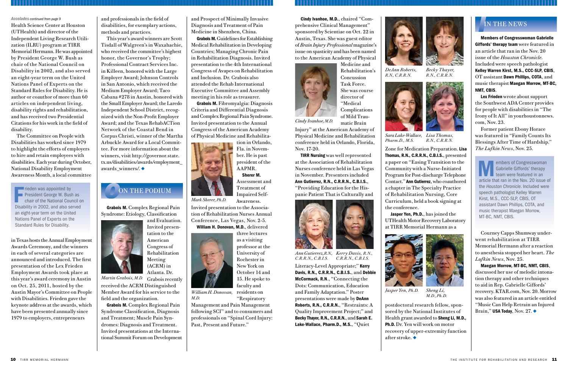(ACRM) in Atlanta. Dr. *Martin Grabois, M.D.* Grabois recently

Grabois M. Complex Regional Pain Syndrome: Etiology, Classification



awards\_winners/.  $\blacklozenge$ 

and Evaluation. Invited presentation to the American Congress of Rehabilitation

Meeting

received the ACRM Distinguished Member Award for his service to the field and the organization.

Grabois M. Complex Regional Pain Syndrome Classification, Diagnosis and Treatment; Muscle Pain Syndromes: Diagnosis and Treatment. Invited presentations at the International Summit Forum on Development and Prospect of Minimally Invasive Diagnosis and Treatment of Pain Medicine in Shenzhen, China.

Grabois M. Guidelines for Establishing Medical Rehabilitation in Developing Countries; Managing Chronic Pain in Rehabilitation Diagnosis. Invited presentation to the 4th International Congress of Avapes on Rehabilitation and Inclusion. Dr. Grabois also attended the Rehab International Executive Committee and Assembly meeting in his role as treasurer.

> postdoctoral research fellow, sponsored by the National Institutes of Health grant awarded to Sheng Li, M.D., Ph.D. Dr. Yen will work on motor recovery of upper-extremity function after stroke.  $\blacklozenge$

**10** TIRR MEMORIAL HERMANN

Grabois M. Fibromyalgia: Diagnosis Criteria and Differential Diagnosis and Complex Regional Pain Syndrome. Invited presentation to the Annual Congress of the American Academy of Physical Medicine and Rehabilita-



Assessment and Treatment of Impaired Self-

> Literacy-Level Appropriate;" Kerry Davis, R.N., C.R.R.N., C.B.I.S., and Debbie McCormack, R.N., "Connecting the Dots: Communication, Education and Family Adaptation." Poster presentations were made by DeAnn Roberts, R.N., C.R.R.N., "Restraints: A Quality Improvement Project;" and Becky Thayer, R.N., C.R.R.N., and Sarah E. Lake-Wallace, Pharm.D., M.S., "Quiet

Awareness. Invited presentation to the Association of Rehabilitation Nurses Annual Conference, Las Vegas, Nov. 2-5. William H. Donovan, M.D., delivered



three lectures as a visiting professor at the University of Rochester in New York on October 14 and 15. He spoke to faculty and

# **O** ON THE PODIUM ON THE PODIUM

Management and Pain Management following SCI" and to consumers and professionals on "Spinal Cord Injury: Past, Present and Future."

Maegan Morrow, MT-BC, NMT, CBIS, discussed her use of melodic intonation therapy and other techniques to aid in Rep. Gabrielle Giffords' recovery. KTAR.com, Nov. 20. Morrow was also featured in an article entitled "Music Can Help Retrain an Injured Brain," USA Today, Nov. 27.  $\blacklozenge$ 

Zone for Medication Preparation. Lisa Thomas, R.N., C.R.R.N., C.B.I.S., presented a paper on "Easing Transition to the Community with a Nurse-Initiated Program for Post-discharge Telephone Contact." Ann Gutierrez, who coauthored a chapter in The Specialty Practice of Rehabilitation Nursing, Core Curriculum, held a book signing at the conference.

*William H. Donovan,* residents on "Respiratory *M.D.*

Jasper Yen, Ph.D., has joined the

Cindy Ivanhoe, M.D., chaired "Comprehensive Clinical Management" sponsored by Scientiae on Oct. 22 in Austin, Texas. She was guest editor of *Brain Injury Professional* magazine's issue on spasticity and has been named to the American Academy of Physical



Medicine and

Rehabilitation's Concussion Task Force. She was course director of "Medical Complications of Mild Traumatic Brain

Injury" at the American Academy of Physical Medicine and Rehabilitation conference held in Orlando, Florida, Nov. 17-20.

TIRR Nursing was well represented at the Association of Rehabilitation Nurses conference held in Las Vegas in November. Presenters included

Ann Gutierrez, R.N., C.R.R.N., C.B.I.S., "Providing Education for the Hispanic Patient That is Culturally and

Fieden was appointed by<br>President George W. Bush as<br>chair of the National Council o<br>Disability in 2002, and also served rieden was appointed by President George W. Bush as chair of the National Council on an eight-year term on the United Nations Panel of Experts on the Standard Rules for Disability.

embers of Congresswoman Gabrielle Giffords' therapy team were featured in an article that ran in the Nov. 20 issue of the *Houston Chronicle*. Included were speech pathologist Kelley Warren Kirst, M.S., CCC-SLP, CBIS, OT assistant Dawn Phillips, COTA, and music therapist Maegan Morrow, MT-BC, NMT, CBIS.

Members of Congresswoman Gabrielle Giffords' therapy team were featured in an article that ran in the Nov. 20 issue of the *Houston Chronicle*. Included were speech pathologist Kelley Warren Kirst, M.S., CCC-SLP, CBIS, OT assistant Dawn Phillips, COTA, and music therapist Maegan Morrow, MT-BC, NMT, CBIS.

Lex Frieden wrote about support the Southwest ADA Center provides for people with disabilities in "The Irony of It All" in yourhoustonnews. com, Nov. 23.

Former patient Ebony Horace was featured in "Family Counts Its Blessings After Time of Hardship." *The Lufkin News*, Nov. 25.

Courney Capps Shumway underwent rehabilitation at TIRR Memorial Hermann after a reaction to anesthesia stopped her heart. *The Lufkin News*, Nov. 25.

### *I*IN THE NEWS

*Cindy Ivanhoe, M.D.*

#### *Accolades continued from page 9*



*Jasper Yen, Ph.D. Sheng Li, M.D.,Ph.D.*

Health Science Center at Houston (UTHealth) and director of the Independent Living Research Utilization (ILRU) program at TIRR Memorial Hermann. He was appointed by President George W. Bush as chair of the National Council on Disability in 2002, and also served an eight-year term on the United Nations Panel of Experts on the Standard Rules for Disability. He is author or coauthor of more than 60 articles on independent living, disability rights and rehabilitation, and has received two Presidential Citations for his work in the field of disability.

The Committee on People with Disabilities has worked since 1979 to highlight the efforts of employers to hire and retain employees with disabilities. Each year during October, National Disability Employment Awareness Month, a local committee

in Texas hosts the Annual Employment Awards Ceremony, and the winners in each of several categories are announced and introduced. The first presentation of the Lex Frieden Employment Awards took place at this year's award ceremony in Austin on Oct. 25, 2011, hosted by the Austin Mayor's Committee on People with Disabilities. Frieden gave the keynote address at the awards, which have been presented annually since 1979 to employers, entrepreneurs

and professionals in the field of disabilities, for exemplary actions, methods and practices.

This year's award winners are Scott Tisdall of Walgreen's in Waxahachie, who received the committee's highest honor, the Governor's Trophy; Professional Contract Services Inc. in Killeen, honored with the Large Employer Award; Johnson Controls in San Antonio, which received the Medium Employer Award; Taco Cabana #278 in Austin, honored with the Small Employer Award; the Laredo Independent School District, recognized with the Non-Profit Employer Award; and the Texas RehabACTion Network of the Coastal Bend in Corpus Christi, winner of the Martha Arbuckle Award for a Local Committee. For more information about the winners, visit http://governor.state. tx.us/disabilities/awards/employment\_



*Ann Gutierrez, R.N., Kerry Davis, R.N., C.R.R.N., C.B.I.S. C.R.R.N., C.B.I.S.*

*DeAnn Roberts, R.N., C.R.R.N.*



*Becky Thayer, R.N., C.R.R.N.*

*Pharm.D., M.S.*



*Sara Lake-Wallace, Lisa Thomas, R.N., C.R.R.N.*